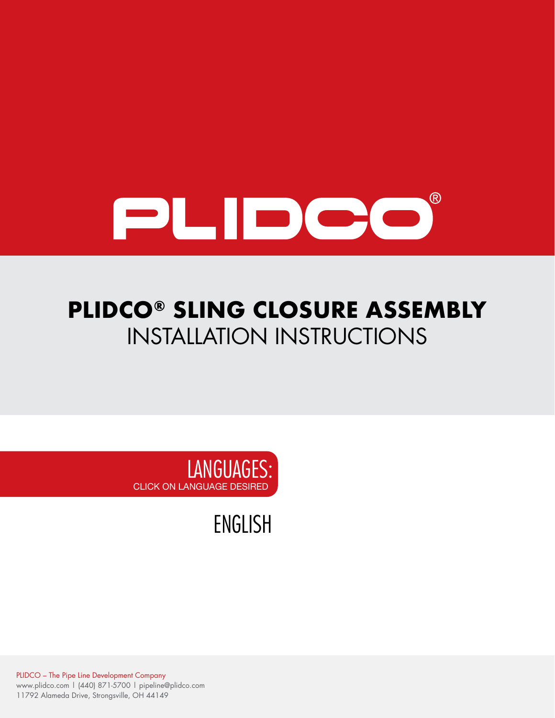

# **PLIDCO® SLING CLOSURE ASSEMBLY** INSTALLATION INSTRUCTIONS



[ENGLISH](#page-1-0)

PLIDCO – The Pipe Line Development Company www.plidco.com | (440) 871-5700 | pipeline@plidco.com 11792 Alameda Drive, Strongsville, OH 44149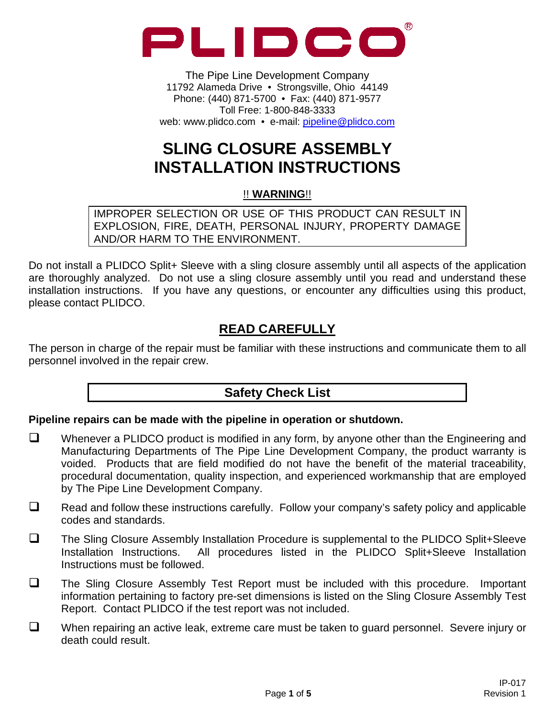<span id="page-1-0"></span>

The Pipe Line Development Company 11792 Alameda Drive • Strongsville, Ohio 44149 Phone: (440) 871-5700 • Fax: (440) 871-9577 Toll Free: 1-800-848-3333 web: www.plidco.com • e-mail: pipeline@plidco.com

# **SLING CLOSURE ASSEMBLY INSTALLATION INSTRUCTIONS**

#### !! **WARNING**!!

IMPROPER SELECTION OR USE OF THIS PRODUCT CAN RESULT IN EXPLOSION, FIRE, DEATH, PERSONAL INJURY, PROPERTY DAMAGE AND/OR HARM TO THE ENVIRONMENT.

Do not install a PLIDCO Split+ Sleeve with a sling closure assembly until all aspects of the application are thoroughly analyzed. Do not use a sling closure assembly until you read and understand these installation instructions. If you have any questions, or encounter any difficulties using this product, please contact PLIDCO.

## **READ CAREFULLY**

The person in charge of the repair must be familiar with these instructions and communicate them to all personnel involved in the repair crew.

### **Safety Check List**

#### **Pipeline repairs can be made with the pipeline in operation or shutdown.**

- $\Box$  Whenever a PLIDCO product is modified in any form, by anyone other than the Engineering and Manufacturing Departments of The Pipe Line Development Company, the product warranty is voided. Products that are field modified do not have the benefit of the material traceability, procedural documentation, quality inspection, and experienced workmanship that are employed by The Pipe Line Development Company.
- $\Box$  Read and follow these instructions carefully. Follow your company's safety policy and applicable codes and standards.
- $\Box$  The Sling Closure Assembly Installation Procedure is supplemental to the PLIDCO Split+Sleeve Installation Instructions. All procedures listed in the PLIDCO Split+Sleeve Installation Instructions must be followed.
- $\Box$  The Sling Closure Assembly Test Report must be included with this procedure. Important information pertaining to factory pre-set dimensions is listed on the Sling Closure Assembly Test Report. Contact PLIDCO if the test report was not included.
- $\Box$  When repairing an active leak, extreme care must be taken to guard personnel. Severe injury or death could result.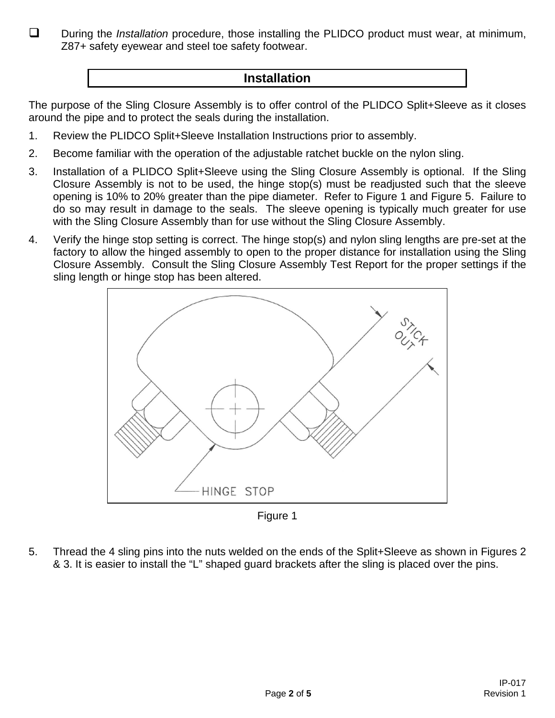During the *Installation* procedure, those installing the PLIDCO product must wear, at minimum, Z87+ safety eyewear and steel toe safety footwear.

### **Installation**

The purpose of the Sling Closure Assembly is to offer control of the PLIDCO Split+Sleeve as it closes around the pipe and to protect the seals during the installation.

- 1. Review the PLIDCO Split+Sleeve Installation Instructions prior to assembly.
- 2. Become familiar with the operation of the adjustable ratchet buckle on the nylon sling.
- 3. Installation of a PLIDCO Split+Sleeve using the Sling Closure Assembly is optional. If the Sling Closure Assembly is not to be used, the hinge stop(s) must be readjusted such that the sleeve opening is 10% to 20% greater than the pipe diameter. Refer to Figure 1 and Figure 5. Failure to do so may result in damage to the seals. The sleeve opening is typically much greater for use with the Sling Closure Assembly than for use without the Sling Closure Assembly.
- 4. Verify the hinge stop setting is correct. The hinge stop(s) and nylon sling lengths are pre-set at the factory to allow the hinged assembly to open to the proper distance for installation using the Sling Closure Assembly. Consult the Sling Closure Assembly Test Report for the proper settings if the sling length or hinge stop has been altered.



Figure 1

5. Thread the 4 sling pins into the nuts welded on the ends of the Split+Sleeve as shown in Figures 2 & 3. It is easier to install the "L" shaped guard brackets after the sling is placed over the pins.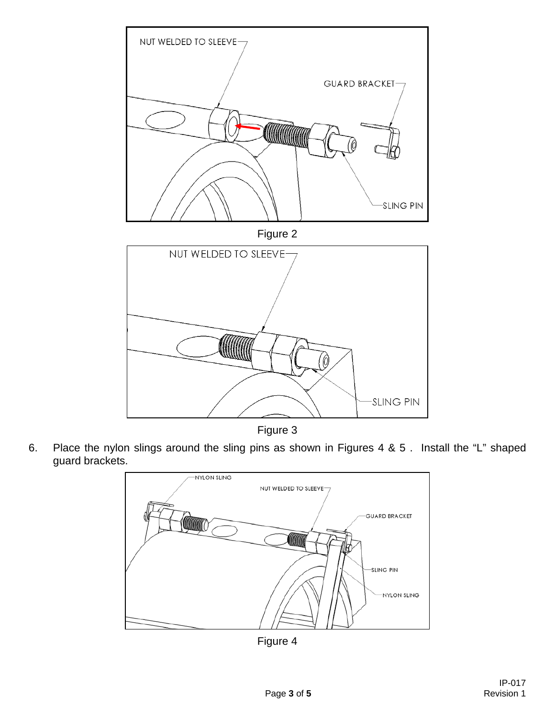

Figure 3

6. Place the nylon slings around the sling pins as shown in Figures 4 & 5 . Install the "L" shaped guard brackets.



Figure 4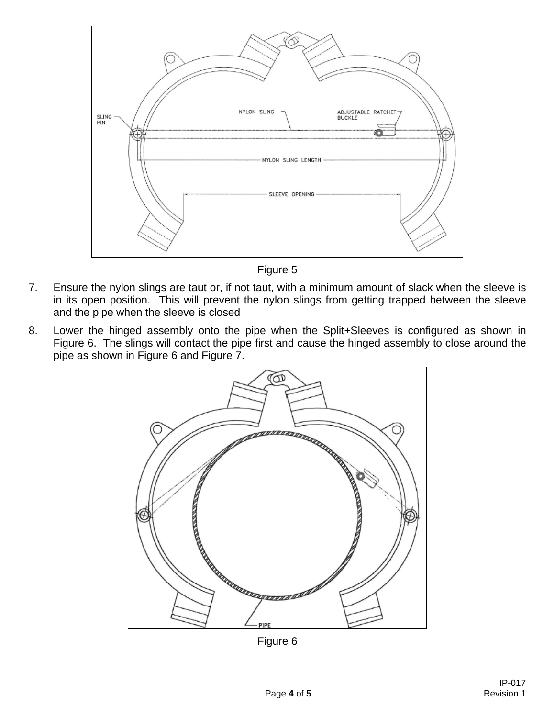

Figure 5

- 7. Ensure the nylon slings are taut or, if not taut, with a minimum amount of slack when the sleeve is in its open position. This will prevent the nylon slings from getting trapped between the sleeve and the pipe when the sleeve is closed
- 8. Lower the hinged assembly onto the pipe when the Split+Sleeves is configured as shown in Figure 6. The slings will contact the pipe first and cause the hinged assembly to close around the pipe as shown in Figure 6 and Figure 7.



Figure 6